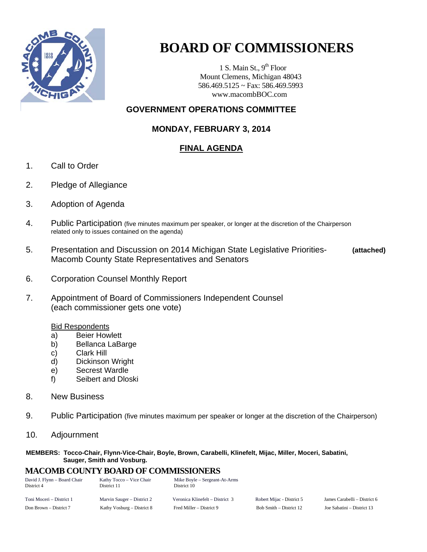

# **BOARD OF COMMISSIONERS**

1 S. Main St.,  $9<sup>th</sup>$  Floor Mount Clemens, Michigan 48043 586.469.5125 ~ Fax: 586.469.5993 www.macombBOC.com

### **GOVERNMENT OPERATIONS COMMITTEE**

### **MONDAY, FEBRUARY 3, 2014**

## **FINAL AGENDA**

- 1. Call to Order
- 2. Pledge of Allegiance
- 3. Adoption of Agenda
- 4. Public Participation (five minutes maximum per speaker, or longer at the discretion of the Chairperson related only to issues contained on the agenda)
- 5. Presentation and Discussion on 2014 Michigan State Legislative Priorities- **(attached)** Macomb County State Representatives and Senators
- 6. Corporation Counsel Monthly Report
- 7. Appointment of Board of Commissioners Independent Counsel (each commissioner gets one vote)

#### Bid Respondents

- a) Beier Howlett
- b) Bellanca LaBarge
- c) Clark Hill
- d) Dickinson Wright
- e) Secrest Wardle
- f) Seibert and Dloski
- 8. New Business
- 9. Public Participation (five minutes maximum per speaker or longer at the discretion of the Chairperson)
- 10. Adjournment

#### **MEMBERS: Tocco-Chair, Flynn-Vice-Chair, Boyle, Brown, Carabelli, Klinefelt, Mijac, Miller, Moceri, Sabatini, Sauger, Smith and Vosburg.**

## **MACOMB COUNTY BOARD OF COMMISSIONERS**<br> **David L Elynn – Board Chair**<br> **Kathy Tocco – Vice Chair**<br> **Mike Boyle – Sergeant-**

| David J. Flynn - Board Chair<br>District 4 | Kathy Tocco – Vice Chair<br>District 11 | Mike Boyle – Sergeant-At-Arms<br>District 10 |                           |                              |
|--------------------------------------------|-----------------------------------------|----------------------------------------------|---------------------------|------------------------------|
| Toni Moceri – District 1                   | Marvin Sauger – District 2              | Veronica Klinefelt – District 3              | Robert Mijac - District 5 | James Carabelli – District 6 |
| Don Brown – District 7                     | Kathy Vosburg – District 8              | Fred Miller – District 9                     | Bob Smith – District 12   | Joe Sabatini – District 13   |